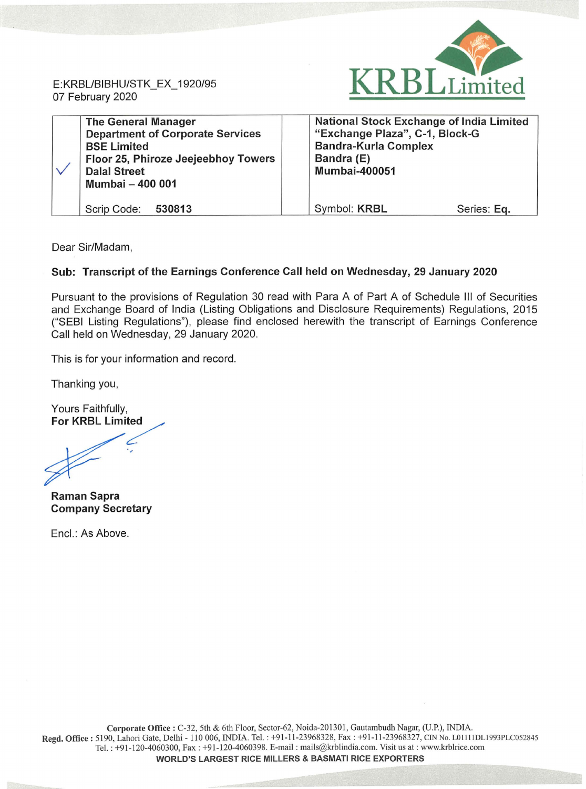E:KRBL/BIBHU/STK\_EX\_ 1920/95 07 February 2020



| <b>The General Manager</b><br><b>Department of Corporate Services</b><br><b>BSE Limited</b><br>Floor 25, Phiroze Jeejeebhoy Towers<br><b>Dalal Street</b><br><b>Mumbai - 400 001</b> | <b>National Stock Exchange of India Limited</b><br>"Exchange Plaza", C-1, Block-G<br><b>Bandra-Kurla Complex</b><br>Bandra (E)<br><b>Mumbai-400051</b> |
|--------------------------------------------------------------------------------------------------------------------------------------------------------------------------------------|--------------------------------------------------------------------------------------------------------------------------------------------------------|
| Scrip Code: 530813                                                                                                                                                                   | Symbol: KRBL<br>Series: Eq.                                                                                                                            |

Dear Sir/Madam,

## **Sub: Transcript of the Earnings Conference Call held on Wednesday, 29 January 2020**

Pursuant to the provisions of Regulation 30 read with Para A of Part A of Schedule Ill of Securities and Exchange Board of India (Listing Obligations and Disclosure Requirements) Regulations, 2015 ("SEBI Listing Regulations"), please find enclosed herewith the transcript of Earnings Conference Call held on Wednesday, 29 January 2020.

This is for your information and record.

Thanking you,

Yours Faithfully, **For KRBL Limited** 

**Raman Sapra Company Secretary** 

Encl.: As Above.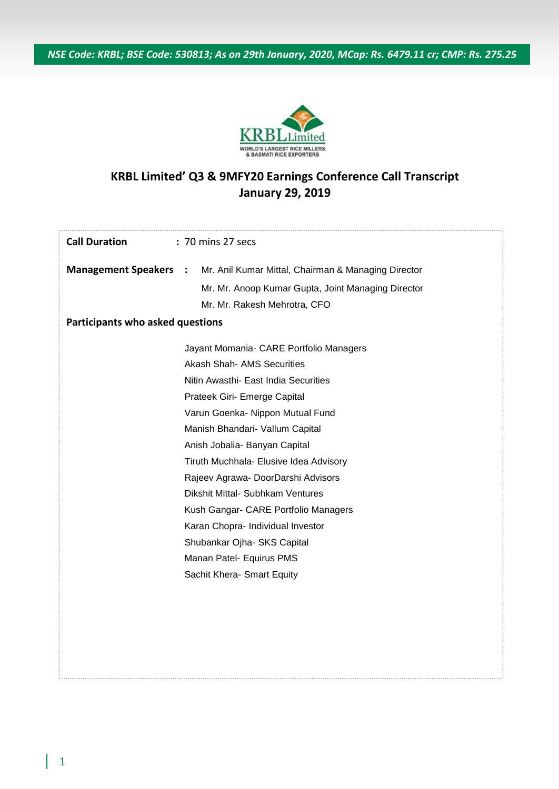*NSE Code: KRBL; BSE Code: 530813; As on 29th January, 2020, MCap: Rs. 6479.11 cr; CMP: Rs. 275.25*



## **KRBL Limited' Q3 & 9MFY20 Earnings Conference Call Transcript January 29, 2019**

| <b>Call Duration</b>             | : 70 mins 27 secs                                   |  |  |
|----------------------------------|-----------------------------------------------------|--|--|
| <b>Management Speakers :</b>     | Mr. Anil Kumar Mittal, Chairman & Managing Director |  |  |
|                                  | Mr. Mr. Anoop Kumar Gupta, Joint Managing Director  |  |  |
|                                  | Mr. Mr. Rakesh Mehrotra, CFO                        |  |  |
| Participants who asked questions |                                                     |  |  |
|                                  | Jayant Momania- CARE Portfolio Managers             |  |  |
|                                  | <b>Akash Shah- AMS Securities</b>                   |  |  |
|                                  | Nitin Awasthi- East India Securities                |  |  |
|                                  | Prateek Giri- Emerge Capital                        |  |  |
|                                  | Varun Goenka- Nippon Mutual Fund                    |  |  |
|                                  | Manish Bhandari- Vallum Capital                     |  |  |
|                                  | Anish Jobalia- Banyan Capital                       |  |  |
|                                  | Tiruth Muchhala- Elusive Idea Advisory              |  |  |
|                                  | Rajeev Agrawa- DoorDarshi Advisors                  |  |  |
|                                  | Dikshit Mittal- Subhkam Ventures                    |  |  |
|                                  | Kush Gangar- CARE Portfolio Managers                |  |  |
|                                  | Karan Chopra- Individual Investor                   |  |  |
|                                  | Shubankar Ojha- SKS Capital                         |  |  |
|                                  | Manan Patel- Equirus PMS                            |  |  |
|                                  | Sachit Khera- Smart Equity                          |  |  |
|                                  |                                                     |  |  |
|                                  |                                                     |  |  |
|                                  |                                                     |  |  |
|                                  |                                                     |  |  |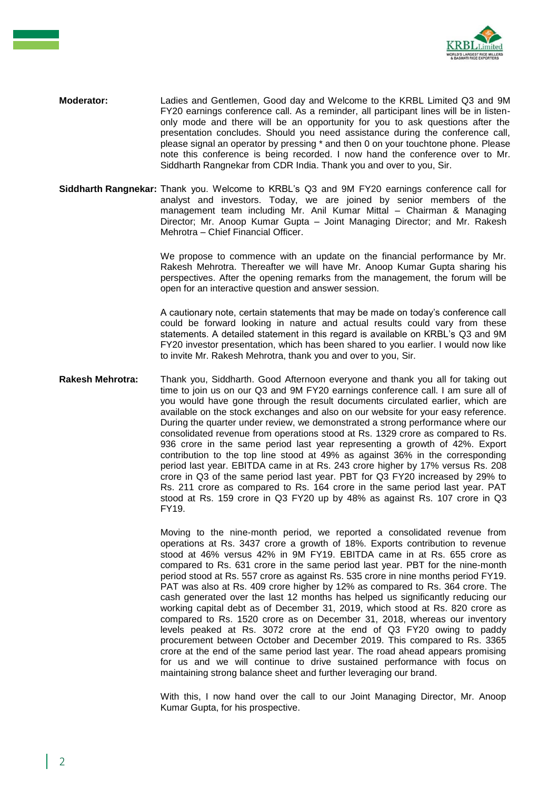

- **Moderator:** Ladies and Gentlemen, Good day and Welcome to the KRBL Limited Q3 and 9M FY20 earnings conference call. As a reminder, all participant lines will be in listenonly mode and there will be an opportunity for you to ask questions after the presentation concludes. Should you need assistance during the conference call, please signal an operator by pressing \* and then 0 on your touchtone phone. Please note this conference is being recorded. I now hand the conference over to Mr. Siddharth Rangnekar from CDR India. Thank you and over to you, Sir.
- **Siddharth Rangnekar:** Thank you. Welcome to KRBL's Q3 and 9M FY20 earnings conference call for analyst and investors. Today, we are joined by senior members of the management team including Mr. Anil Kumar Mittal – Chairman & Managing Director; Mr. Anoop Kumar Gupta – Joint Managing Director; and Mr. Rakesh Mehrotra – Chief Financial Officer.

We propose to commence with an update on the financial performance by Mr. Rakesh Mehrotra. Thereafter we will have Mr. Anoop Kumar Gupta sharing his perspectives. After the opening remarks from the management, the forum will be open for an interactive question and answer session.

A cautionary note, certain statements that may be made on today's conference call could be forward looking in nature and actual results could vary from these statements. A detailed statement in this regard is available on KRBL's Q3 and 9M FY20 investor presentation, which has been shared to you earlier. I would now like to invite Mr. Rakesh Mehrotra, thank you and over to you, Sir.

**Rakesh Mehrotra:** Thank you, Siddharth. Good Afternoon everyone and thank you all for taking out time to join us on our Q3 and 9M FY20 earnings conference call. I am sure all of you would have gone through the result documents circulated earlier, which are available on the stock exchanges and also on our website for your easy reference. During the quarter under review, we demonstrated a strong performance where our consolidated revenue from operations stood at Rs. 1329 crore as compared to Rs. 936 crore in the same period last year representing a growth of 42%. Export contribution to the top line stood at 49% as against 36% in the corresponding period last year. EBITDA came in at Rs. 243 crore higher by 17% versus Rs. 208 crore in Q3 of the same period last year. PBT for Q3 FY20 increased by 29% to Rs. 211 crore as compared to Rs. 164 crore in the same period last year. PAT stood at Rs. 159 crore in Q3 FY20 up by 48% as against Rs. 107 crore in Q3 FY19.

> Moving to the nine-month period, we reported a consolidated revenue from operations at Rs. 3437 crore a growth of 18%. Exports contribution to revenue stood at 46% versus 42% in 9M FY19. EBITDA came in at Rs. 655 crore as compared to Rs. 631 crore in the same period last year. PBT for the nine-month period stood at Rs. 557 crore as against Rs. 535 crore in nine months period FY19. PAT was also at Rs. 409 crore higher by 12% as compared to Rs. 364 crore. The cash generated over the last 12 months has helped us significantly reducing our working capital debt as of December 31, 2019, which stood at Rs. 820 crore as compared to Rs. 1520 crore as on December 31, 2018, whereas our inventory levels peaked at Rs. 3072 crore at the end of Q3 FY20 owing to paddy procurement between October and December 2019. This compared to Rs. 3365 crore at the end of the same period last year. The road ahead appears promising for us and we will continue to drive sustained performance with focus on maintaining strong balance sheet and further leveraging our brand.

> With this, I now hand over the call to our Joint Managing Director, Mr. Anoop Kumar Gupta, for his prospective.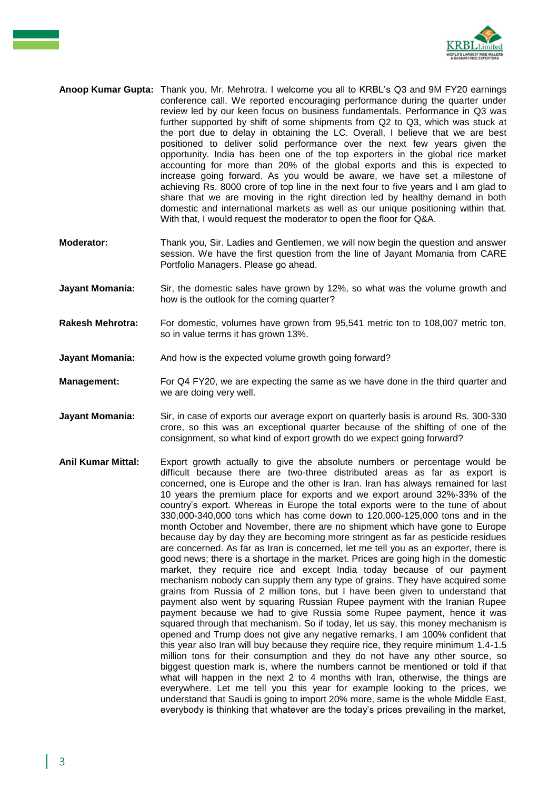

- **Anoop Kumar Gupta:** Thank you, Mr. Mehrotra. I welcome you all to KRBL's Q3 and 9M FY20 earnings conference call. We reported encouraging performance during the quarter under review led by our keen focus on business fundamentals. Performance in Q3 was further supported by shift of some shipments from Q2 to Q3, which was stuck at the port due to delay in obtaining the LC. Overall, I believe that we are best positioned to deliver solid performance over the next few years given the opportunity. India has been one of the top exporters in the global rice market accounting for more than 20% of the global exports and this is expected to increase going forward. As you would be aware, we have set a milestone of achieving Rs. 8000 crore of top line in the next four to five years and I am glad to share that we are moving in the right direction led by healthy demand in both domestic and international markets as well as our unique positioning within that. With that, I would request the moderator to open the floor for Q&A.
- **Moderator:** Thank you, Sir. Ladies and Gentlemen, we will now begin the question and answer session. We have the first question from the line of Jayant Momania from CARE Portfolio Managers. Please go ahead.
- **Jayant Momania:** Sir, the domestic sales have grown by 12%, so what was the volume growth and how is the outlook for the coming quarter?
- **Rakesh Mehrotra:** For domestic, volumes have grown from 95,541 metric ton to 108,007 metric ton, so in value terms it has grown 13%.
- **Jayant Momania:** And how is the expected volume growth going forward?
- **Management:** For Q4 FY20, we are expecting the same as we have done in the third quarter and we are doing very well.
- **Jayant Momania:** Sir, in case of exports our average export on quarterly basis is around Rs. 300-330 crore, so this was an exceptional quarter because of the shifting of one of the consignment, so what kind of export growth do we expect going forward?
- **Anil Kumar Mittal:** Export growth actually to give the absolute numbers or percentage would be difficult because there are two-three distributed areas as far as export is concerned, one is Europe and the other is Iran. Iran has always remained for last 10 years the premium place for exports and we export around 32%-33% of the country's export. Whereas in Europe the total exports were to the tune of about 330,000-340,000 tons which has come down to 120,000-125,000 tons and in the month October and November, there are no shipment which have gone to Europe because day by day they are becoming more stringent as far as pesticide residues are concerned. As far as Iran is concerned, let me tell you as an exporter, there is good news; there is a shortage in the market. Prices are going high in the domestic market, they require rice and except India today because of our payment mechanism nobody can supply them any type of grains. They have acquired some grains from Russia of 2 million tons, but I have been given to understand that payment also went by squaring Russian Rupee payment with the Iranian Rupee payment because we had to give Russia some Rupee payment, hence it was squared through that mechanism. So if today, let us say, this money mechanism is opened and Trump does not give any negative remarks, I am 100% confident that this year also Iran will buy because they require rice, they require minimum 1.4-1.5 million tons for their consumption and they do not have any other source, so biggest question mark is, where the numbers cannot be mentioned or told if that what will happen in the next 2 to 4 months with Iran, otherwise, the things are everywhere. Let me tell you this year for example looking to the prices, we understand that Saudi is going to import 20% more, same is the whole Middle East, everybody is thinking that whatever are the today's prices prevailing in the market,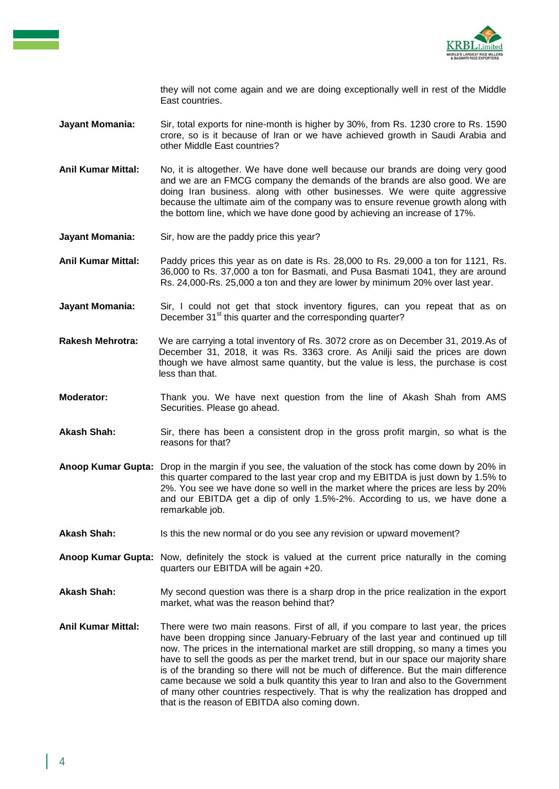

they will not come again and we are doing exceptionally well in rest of the Middle East countries.

- **Jayant Momania:** Sir, total exports for nine-month is higher by 30%, from Rs. 1230 crore to Rs. 1590 crore, so is it because of Iran or we have achieved growth in Saudi Arabia and other Middle East countries?
- **Anil Kumar Mittal:** No, it is altogether. We have done well because our brands are doing very good and we are an FMCG company the demands of the brands are also good. We are doing Iran business. along with other businesses. We were quite aggressive because the ultimate aim of the company was to ensure revenue growth along with the bottom line, which we have done good by achieving an increase of 17%.
- **Jayant Momania:** Sir, how are the paddy price this year?
- **Anil Kumar Mittal:** Paddy prices this year as on date is Rs. 28,000 to Rs. 29,000 a ton for 1121, Rs. 36,000 to Rs. 37,000 a ton for Basmati, and Pusa Basmati 1041, they are around Rs. 24,000-Rs. 25,000 a ton and they are lower by minimum 20% over last year.
- **Jayant Momania:** Sir, I could not get that stock inventory figures, can you repeat that as on December 31<sup>st</sup> this quarter and the corresponding quarter?
- **Rakesh Mehrotra:** We are carrying a total inventory of Rs. 3072 crore as on December 31, 2019.As of December 31, 2018, it was Rs. 3363 crore. As Anilji said the prices are down though we have almost same quantity, but the value is less, the purchase is cost less than that.
- **Moderator:** Thank you. We have next question from the line of Akash Shah from AMS Securities. Please go ahead.
- **Akash Shah:** Sir, there has been a consistent drop in the gross profit margin, so what is the reasons for that?
- **Anoop Kumar Gupta:** Drop in the margin if you see, the valuation of the stock has come down by 20% in this quarter compared to the last year crop and my EBITDA is just down by 1.5% to 2%. You see we have done so well in the market where the prices are less by 20% and our EBITDA get a dip of only 1.5%-2%. According to us, we have done a remarkable job.
- **Akash Shah:** Is this the new normal or do you see any revision or upward movement?
- **Anoop Kumar Gupta:** Now, definitely the stock is valued at the current price naturally in the coming quarters our EBITDA will be again +20.
- **Akash Shah:** My second question was there is a sharp drop in the price realization in the export market, what was the reason behind that?
- **Anil Kumar Mittal:** There were two main reasons. First of all, if you compare to last year, the prices have been dropping since January-February of the last year and continued up till now. The prices in the international market are still dropping, so many a times you have to sell the goods as per the market trend, but in our space our majority share is of the branding so there will not be much of difference. But the main difference came because we sold a bulk quantity this year to Iran and also to the Government of many other countries respectively. That is why the realization has dropped and that is the reason of EBITDA also coming down.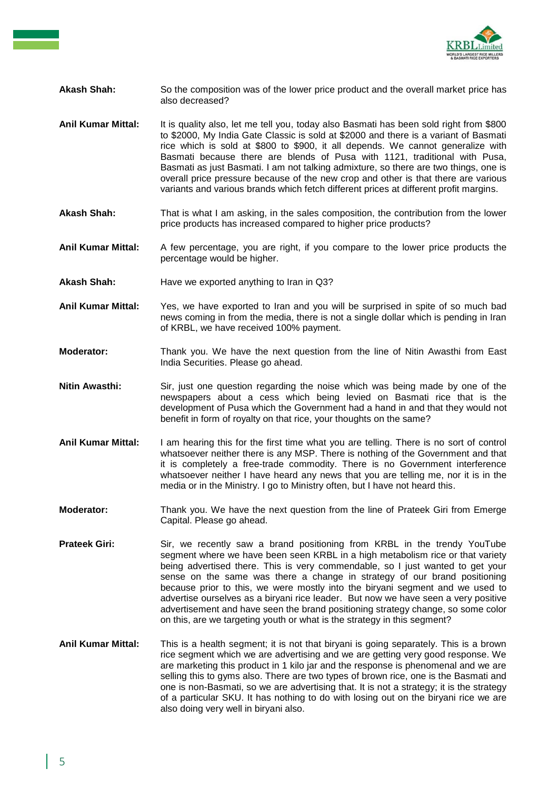

## **Akash Shah:** So the composition was of the lower price product and the overall market price has also decreased?

- **Anil Kumar Mittal:** It is quality also, let me tell you, today also Basmati has been sold right from \$800 to \$2000, My India Gate Classic is sold at \$2000 and there is a variant of Basmati rice which is sold at \$800 to \$900, it all depends. We cannot generalize with Basmati because there are blends of Pusa with 1121, traditional with Pusa, Basmati as just Basmati. I am not talking admixture, so there are two things, one is overall price pressure because of the new crop and other is that there are various variants and various brands which fetch different prices at different profit margins.
- **Akash Shah:** That is what I am asking, in the sales composition, the contribution from the lower price products has increased compared to higher price products?
- **Anil Kumar Mittal:** A few percentage, you are right, if you compare to the lower price products the percentage would be higher.
- **Akash Shah:** Have we exported anything to Iran in Q3?
- **Anil Kumar Mittal:** Yes, we have exported to Iran and you will be surprised in spite of so much bad news coming in from the media, there is not a single dollar which is pending in Iran of KRBL, we have received 100% payment.
- **Moderator:** Thank you. We have the next question from the line of Nitin Awasthi from East India Securities. Please go ahead.
- **Nitin Awasthi:** Sir, just one question regarding the noise which was being made by one of the newspapers about a cess which being levied on Basmati rice that is the development of Pusa which the Government had a hand in and that they would not benefit in form of royalty on that rice, your thoughts on the same?
- **Anil Kumar Mittal:** I am hearing this for the first time what you are telling. There is no sort of control whatsoever neither there is any MSP. There is nothing of the Government and that it is completely a free-trade commodity. There is no Government interference whatsoever neither I have heard any news that you are telling me, nor it is in the media or in the Ministry. I go to Ministry often, but I have not heard this.
- **Moderator:** Thank you. We have the next question from the line of Prateek Giri from Emerge Capital. Please go ahead.
- **Prateek Giri:** Sir, we recently saw a brand positioning from KRBL in the trendy YouTube segment where we have been seen KRBL in a high metabolism rice or that variety being advertised there. This is very commendable, so I just wanted to get your sense on the same was there a change in strategy of our brand positioning because prior to this, we were mostly into the biryani segment and we used to advertise ourselves as a biryani rice leader. But now we have seen a very positive advertisement and have seen the brand positioning strategy change, so some color on this, are we targeting youth or what is the strategy in this segment?
- **Anil Kumar Mittal:** This is a health segment; it is not that biryani is going separately. This is a brown rice segment which we are advertising and we are getting very good response. We are marketing this product in 1 kilo jar and the response is phenomenal and we are selling this to gyms also. There are two types of brown rice, one is the Basmati and one is non-Basmati, so we are advertising that. It is not a strategy; it is the strategy of a particular SKU. It has nothing to do with losing out on the biryani rice we are also doing very well in biryani also.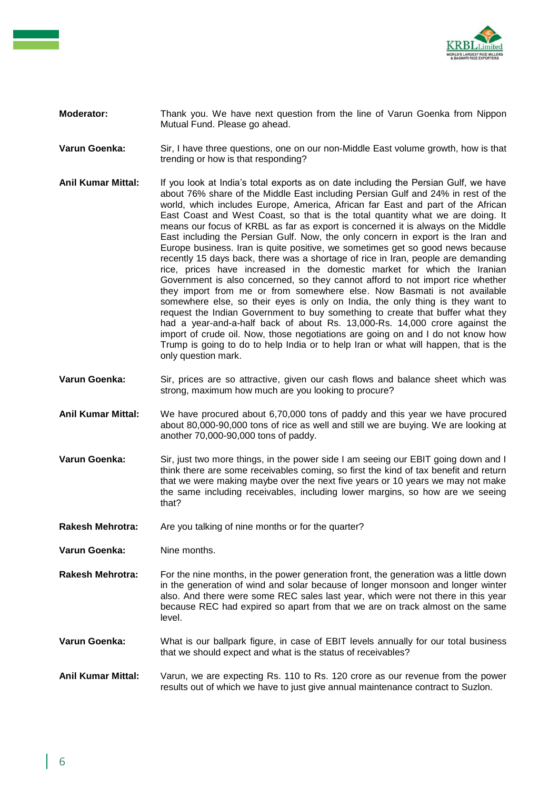

- **Moderator:** Thank you. We have next question from the line of Varun Goenka from Nippon Mutual Fund. Please go ahead.
- **Varun Goenka:** Sir, I have three questions, one on our non-Middle East volume growth, how is that trending or how is that responding?
- **Anil Kumar Mittal:** If you look at India's total exports as on date including the Persian Gulf, we have about 76% share of the Middle East including Persian Gulf and 24% in rest of the world, which includes Europe, America, African far East and part of the African East Coast and West Coast, so that is the total quantity what we are doing. It means our focus of KRBL as far as export is concerned it is always on the Middle East including the Persian Gulf. Now, the only concern in export is the Iran and Europe business. Iran is quite positive, we sometimes get so good news because recently 15 days back, there was a shortage of rice in Iran, people are demanding rice, prices have increased in the domestic market for which the Iranian Government is also concerned, so they cannot afford to not import rice whether they import from me or from somewhere else. Now Basmati is not available somewhere else, so their eyes is only on India, the only thing is they want to request the Indian Government to buy something to create that buffer what they had a year-and-a-half back of about Rs. 13,000-Rs. 14,000 crore against the import of crude oil. Now, those negotiations are going on and I do not know how Trump is going to do to help India or to help Iran or what will happen, that is the only question mark.
- **Varun Goenka:** Sir, prices are so attractive, given our cash flows and balance sheet which was strong, maximum how much are you looking to procure?
- **Anil Kumar Mittal:** We have procured about 6,70,000 tons of paddy and this year we have procured about 80,000-90,000 tons of rice as well and still we are buying. We are looking at another 70,000-90,000 tons of paddy.
- **Varun Goenka:** Sir, just two more things, in the power side I am seeing our EBIT going down and I think there are some receivables coming, so first the kind of tax benefit and return that we were making maybe over the next five years or 10 years we may not make the same including receivables, including lower margins, so how are we seeing that?
- Rakesh Mehrotra: Are you talking of nine months or for the quarter?
- **Varun Goenka:** Nine months.
- **Rakesh Mehrotra:** For the nine months, in the power generation front, the generation was a little down in the generation of wind and solar because of longer monsoon and longer winter also. And there were some REC sales last year, which were not there in this year because REC had expired so apart from that we are on track almost on the same level.
- **Varun Goenka:** What is our ballpark figure, in case of EBIT levels annually for our total business that we should expect and what is the status of receivables?
- **Anil Kumar Mittal:** Varun, we are expecting Rs. 110 to Rs. 120 crore as our revenue from the power results out of which we have to just give annual maintenance contract to Suzlon.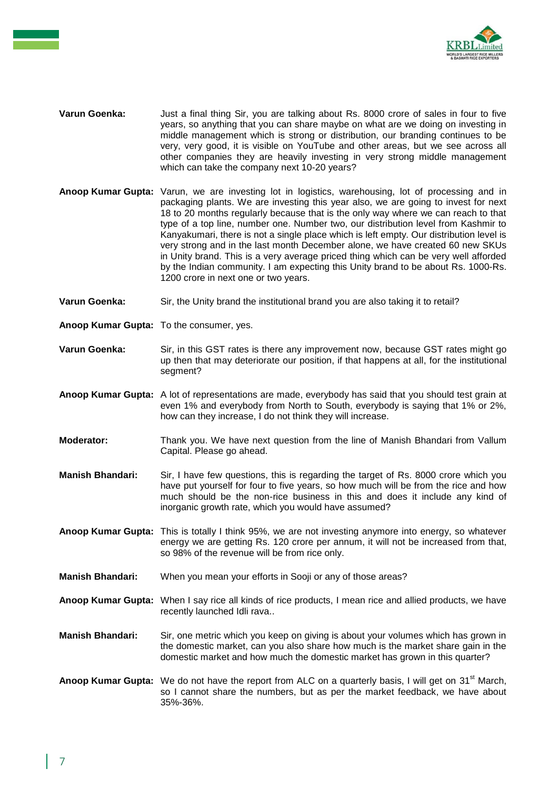

- **Varun Goenka:** Just a final thing Sir, you are talking about Rs. 8000 crore of sales in four to five years, so anything that you can share maybe on what are we doing on investing in middle management which is strong or distribution, our branding continues to be very, very good, it is visible on YouTube and other areas, but we see across all other companies they are heavily investing in very strong middle management which can take the company next 10-20 years?
- **Anoop Kumar Gupta:** Varun, we are investing lot in logistics, warehousing, lot of processing and in packaging plants. We are investing this year also, we are going to invest for next 18 to 20 months regularly because that is the only way where we can reach to that type of a top line, number one. Number two, our distribution level from Kashmir to Kanyakumari, there is not a single place which is left empty. Our distribution level is very strong and in the last month December alone, we have created 60 new SKUs in Unity brand. This is a very average priced thing which can be very well afforded by the Indian community. I am expecting this Unity brand to be about Rs. 1000-Rs. 1200 crore in next one or two years.
- **Varun Goenka:** Sir, the Unity brand the institutional brand you are also taking it to retail?
- **Anoop Kumar Gupta:** To the consumer, yes.
- **Varun Goenka:** Sir, in this GST rates is there any improvement now, because GST rates might go up then that may deteriorate our position, if that happens at all, for the institutional segment?
- **Anoop Kumar Gupta:** A lot of representations are made, everybody has said that you should test grain at even 1% and everybody from North to South, everybody is saying that 1% or 2%, how can they increase, I do not think they will increase.
- **Moderator:** Thank you. We have next question from the line of Manish Bhandari from Vallum Capital. Please go ahead.
- **Manish Bhandari:** Sir, I have few questions, this is regarding the target of Rs. 8000 crore which you have put yourself for four to five years, so how much will be from the rice and how much should be the non-rice business in this and does it include any kind of inorganic growth rate, which you would have assumed?
- **Anoop Kumar Gupta:** This is totally I think 95%, we are not investing anymore into energy, so whatever energy we are getting Rs. 120 crore per annum, it will not be increased from that, so 98% of the revenue will be from rice only.
- **Manish Bhandari:** When you mean your efforts in Sooji or any of those areas?
- **Anoop Kumar Gupta:** When I say rice all kinds of rice products, I mean rice and allied products, we have recently launched Idli rava..
- **Manish Bhandari:** Sir, one metric which you keep on giving is about your volumes which has grown in the domestic market, can you also share how much is the market share gain in the domestic market and how much the domestic market has grown in this quarter?
- Anoop Kumar Gupta: We do not have the report from ALC on a quarterly basis, I will get on 31<sup>st</sup> March, so I cannot share the numbers, but as per the market feedback, we have about 35%-36%.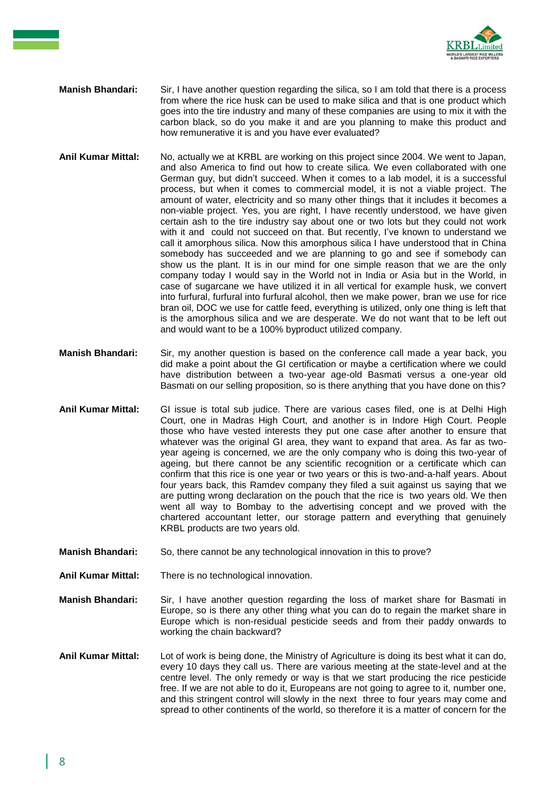

- **Manish Bhandari:** Sir, I have another question regarding the silica, so I am told that there is a process from where the rice husk can be used to make silica and that is one product which goes into the tire industry and many of these companies are using to mix it with the carbon black, so do you make it and are you planning to make this product and how remunerative it is and you have ever evaluated?
- **Anil Kumar Mittal:** No, actually we at KRBL are working on this project since 2004. We went to Japan, and also America to find out how to create silica. We even collaborated with one German guy, but didn't succeed. When it comes to a lab model, it is a successful process, but when it comes to commercial model, it is not a viable project. The amount of water, electricity and so many other things that it includes it becomes a non-viable project. Yes, you are right, I have recently understood, we have given certain ash to the tire industry say about one or two lots but they could not work with it and could not succeed on that. But recently, I've known to understand we call it amorphous silica. Now this amorphous silica I have understood that in China somebody has succeeded and we are planning to go and see if somebody can show us the plant. It is in our mind for one simple reason that we are the only company today I would say in the World not in India or Asia but in the World, in case of sugarcane we have utilized it in all vertical for example husk, we convert into furfural, furfural into furfural alcohol, then we make power, bran we use for rice bran oil, DOC we use for cattle feed, everything is utilized, only one thing is left that is the amorphous silica and we are desperate. We do not want that to be left out and would want to be a 100% byproduct utilized company.
- **Manish Bhandari:** Sir, my another question is based on the conference call made a year back, you did make a point about the GI certification or maybe a certification where we could have distribution between a two-year age-old Basmati versus a one-year old Basmati on our selling proposition, so is there anything that you have done on this?
- **Anil Kumar Mittal:** GI issue is total sub judice. There are various cases filed, one is at Delhi High Court, one in Madras High Court, and another is in Indore High Court. People those who have vested interests they put one case after another to ensure that whatever was the original GI area, they want to expand that area. As far as twoyear ageing is concerned, we are the only company who is doing this two-year of ageing, but there cannot be any scientific recognition or a certificate which can confirm that this rice is one year or two years or this is two-and-a-half years. About four years back, this Ramdev company they filed a suit against us saying that we are putting wrong declaration on the pouch that the rice is two years old. We then went all way to Bombay to the advertising concept and we proved with the chartered accountant letter, our storage pattern and everything that genuinely KRBL products are two years old.
- **Manish Bhandari:** So, there cannot be any technological innovation in this to prove?
- **Anil Kumar Mittal:** There is no technological innovation.
- **Manish Bhandari:** Sir, I have another question regarding the loss of market share for Basmati in Europe, so is there any other thing what you can do to regain the market share in Europe which is non-residual pesticide seeds and from their paddy onwards to working the chain backward?
- **Anil Kumar Mittal:** Lot of work is being done, the Ministry of Agriculture is doing its best what it can do, every 10 days they call us. There are various meeting at the state-level and at the centre level. The only remedy or way is that we start producing the rice pesticide free. If we are not able to do it, Europeans are not going to agree to it, number one, and this stringent control will slowly in the next three to four years may come and spread to other continents of the world, so therefore it is a matter of concern for the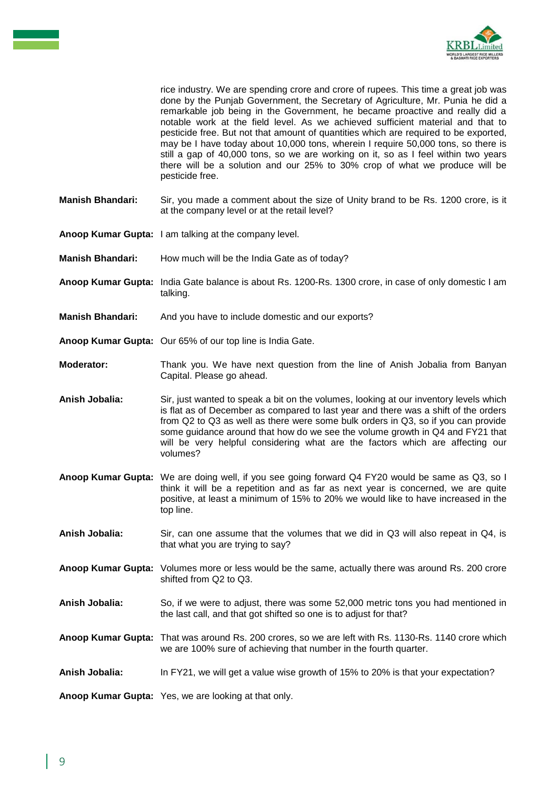

rice industry. We are spending crore and crore of rupees. This time a great job was done by the Punjab Government, the Secretary of Agriculture, Mr. Punia he did a remarkable job being in the Government, he became proactive and really did a notable work at the field level. As we achieved sufficient material and that to pesticide free. But not that amount of quantities which are required to be exported, may be I have today about 10,000 tons, wherein I require 50,000 tons, so there is still a gap of 40,000 tons, so we are working on it, so as I feel within two years there will be a solution and our 25% to 30% crop of what we produce will be pesticide free.

- **Manish Bhandari:** Sir, you made a comment about the size of Unity brand to be Rs. 1200 crore, is it at the company level or at the retail level?
- **Anoop Kumar Gupta:** I am talking at the company level.
- **Manish Bhandari:** How much will be the India Gate as of today?
- **Anoop Kumar Gupta:** India Gate balance is about Rs. 1200-Rs. 1300 crore, in case of only domestic I am talking.
- **Manish Bhandari:** And you have to include domestic and our exports?
- **Anoop Kumar Gupta:** Our 65% of our top line is India Gate.
- **Moderator:** Thank you. We have next question from the line of Anish Jobalia from Banyan Capital. Please go ahead.
- **Anish Jobalia:** Sir, just wanted to speak a bit on the volumes, looking at our inventory levels which is flat as of December as compared to last year and there was a shift of the orders from Q2 to Q3 as well as there were some bulk orders in Q3, so if you can provide some guidance around that how do we see the volume growth in Q4 and FY21 that will be very helpful considering what are the factors which are affecting our volumes?
- **Anoop Kumar Gupta:** We are doing well, if you see going forward Q4 FY20 would be same as Q3, so I think it will be a repetition and as far as next year is concerned, we are quite positive, at least a minimum of 15% to 20% we would like to have increased in the top line.
- **Anish Jobalia:** Sir, can one assume that the volumes that we did in Q3 will also repeat in Q4, is that what you are trying to say?
- **Anoop Kumar Gupta:** Volumes more or less would be the same, actually there was around Rs. 200 crore shifted from Q2 to Q3.
- **Anish Jobalia:** So, if we were to adjust, there was some 52,000 metric tons you had mentioned in the last call, and that got shifted so one is to adjust for that?
- **Anoop Kumar Gupta:** That was around Rs. 200 crores, so we are left with Rs. 1130-Rs. 1140 crore which we are 100% sure of achieving that number in the fourth quarter.
- **Anish Jobalia:** In FY21, we will get a value wise growth of 15% to 20% is that your expectation?

**Anoop Kumar Gupta:** Yes, we are looking at that only.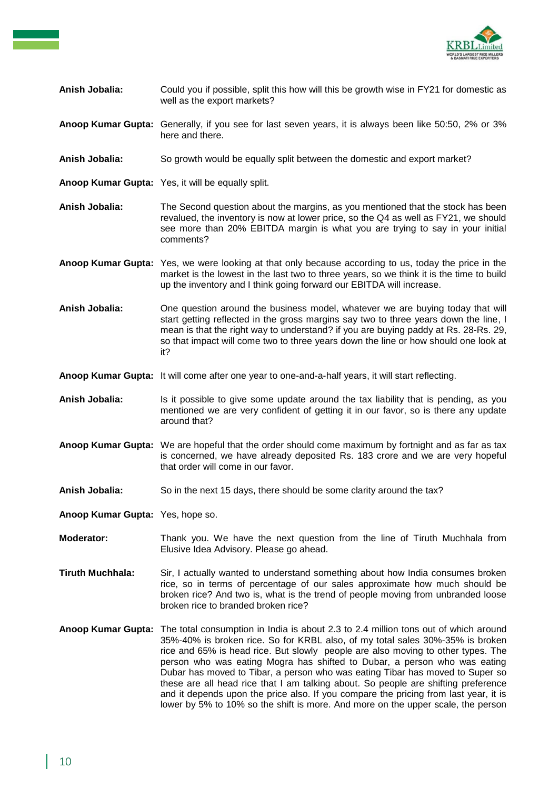

- **Anish Jobalia:** Could you if possible, split this how will this be growth wise in FY21 for domestic as well as the export markets?
- **Anoop Kumar Gupta:** Generally, if you see for last seven years, it is always been like 50:50, 2% or 3% here and there.
- **Anish Jobalia:** So growth would be equally split between the domestic and export market?
- **Anoop Kumar Gupta:** Yes, it will be equally split.
- **Anish Jobalia:** The Second question about the margins, as you mentioned that the stock has been revalued, the inventory is now at lower price, so the Q4 as well as FY21, we should see more than 20% EBITDA margin is what you are trying to say in your initial comments?
- **Anoop Kumar Gupta:** Yes, we were looking at that only because according to us, today the price in the market is the lowest in the last two to three years, so we think it is the time to build up the inventory and I think going forward our EBITDA will increase.
- **Anish Jobalia:** One question around the business model, whatever we are buying today that will start getting reflected in the gross margins say two to three years down the line, I mean is that the right way to understand? if you are buying paddy at Rs. 28-Rs. 29, so that impact will come two to three years down the line or how should one look at it?
- **Anoop Kumar Gupta:** It will come after one year to one-and-a-half years, it will start reflecting.
- **Anish Jobalia:** Is it possible to give some update around the tax liability that is pending, as you mentioned we are very confident of getting it in our favor, so is there any update around that?
- **Anoop Kumar Gupta:** We are hopeful that the order should come maximum by fortnight and as far as tax is concerned, we have already deposited Rs. 183 crore and we are very hopeful that order will come in our favor.
- Anish Jobalia: So in the next 15 days, there should be some clarity around the tax?
- **Anoop Kumar Gupta:** Yes, hope so.
- **Moderator:** Thank you. We have the next question from the line of Tiruth Muchhala from Elusive Idea Advisory. Please go ahead.
- **Tiruth Muchhala:** Sir, I actually wanted to understand something about how India consumes broken rice, so in terms of percentage of our sales approximate how much should be broken rice? And two is, what is the trend of people moving from unbranded loose broken rice to branded broken rice?
- **Anoop Kumar Gupta:** The total consumption in India is about 2.3 to 2.4 million tons out of which around 35%-40% is broken rice. So for KRBL also, of my total sales 30%-35% is broken rice and 65% is head rice. But slowly people are also moving to other types. The person who was eating Mogra has shifted to Dubar, a person who was eating Dubar has moved to Tibar, a person who was eating Tibar has moved to Super so these are all head rice that I am talking about. So people are shifting preference and it depends upon the price also. If you compare the pricing from last year, it is lower by 5% to 10% so the shift is more. And more on the upper scale, the person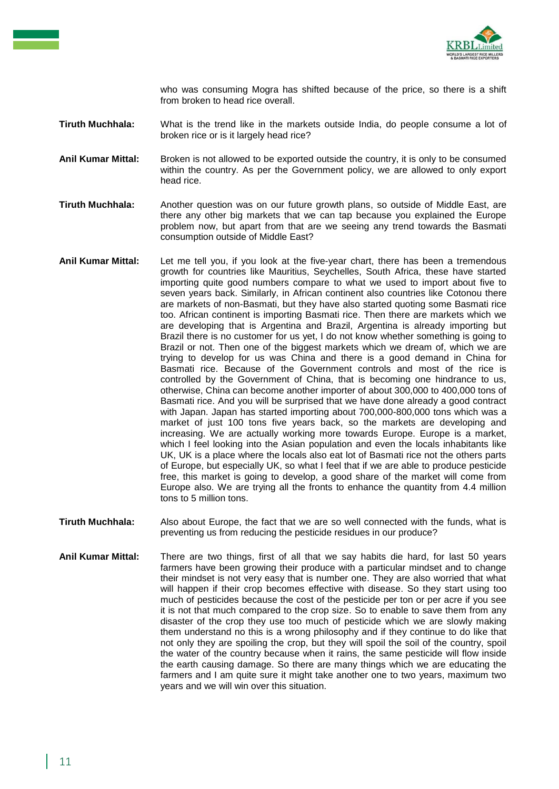

who was consuming Mogra has shifted because of the price, so there is a shift from broken to head rice overall.

**Tiruth Muchhala:** What is the trend like in the markets outside India, do people consume a lot of broken rice or is it largely head rice?

Anil Kumar Mittal: Broken is not allowed to be exported outside the country, it is only to be consumed within the country. As per the Government policy, we are allowed to only export head rice.

**Tiruth Muchhala:** Another question was on our future growth plans, so outside of Middle East, are there any other big markets that we can tap because you explained the Europe problem now, but apart from that are we seeing any trend towards the Basmati consumption outside of Middle East?

- **Anil Kumar Mittal:** Let me tell you, if you look at the five-year chart, there has been a tremendous growth for countries like Mauritius, Seychelles, South Africa, these have started importing quite good numbers compare to what we used to import about five to seven years back. Similarly, in African continent also countries like Cotonou there are markets of non-Basmati, but they have also started quoting some Basmati rice too. African continent is importing Basmati rice. Then there are markets which we are developing that is Argentina and Brazil, Argentina is already importing but Brazil there is no customer for us yet, I do not know whether something is going to Brazil or not. Then one of the biggest markets which we dream of, which we are trying to develop for us was China and there is a good demand in China for Basmati rice. Because of the Government controls and most of the rice is controlled by the Government of China, that is becoming one hindrance to us, otherwise, China can become another importer of about 300,000 to 400,000 tons of Basmati rice. And you will be surprised that we have done already a good contract with Japan. Japan has started importing about 700,000-800,000 tons which was a market of just 100 tons five years back, so the markets are developing and increasing. We are actually working more towards Europe. Europe is a market, which I feel looking into the Asian population and even the locals inhabitants like UK, UK is a place where the locals also eat lot of Basmati rice not the others parts of Europe, but especially UK, so what I feel that if we are able to produce pesticide free, this market is going to develop, a good share of the market will come from Europe also. We are trying all the fronts to enhance the quantity from 4.4 million tons to 5 million tons.
- **Tiruth Muchhala:** Also about Europe, the fact that we are so well connected with the funds, what is preventing us from reducing the pesticide residues in our produce?
- **Anil Kumar Mittal:** There are two things, first of all that we say habits die hard, for last 50 years farmers have been growing their produce with a particular mindset and to change their mindset is not very easy that is number one. They are also worried that what will happen if their crop becomes effective with disease. So they start using too much of pesticides because the cost of the pesticide per ton or per acre if you see it is not that much compared to the crop size. So to enable to save them from any disaster of the crop they use too much of pesticide which we are slowly making them understand no this is a wrong philosophy and if they continue to do like that not only they are spoiling the crop, but they will spoil the soil of the country, spoil the water of the country because when it rains, the same pesticide will flow inside the earth causing damage. So there are many things which we are educating the farmers and I am quite sure it might take another one to two years, maximum two years and we will win over this situation.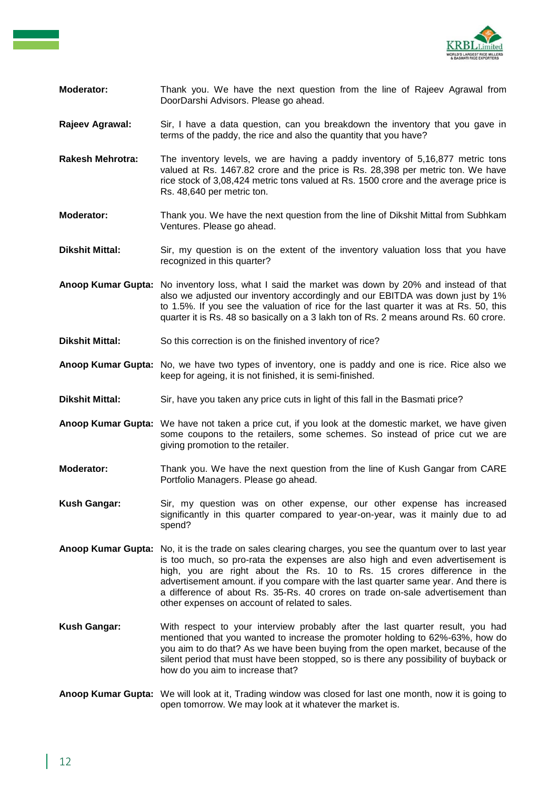

- **Moderator:** Thank you. We have the next question from the line of Rajeev Agrawal from DoorDarshi Advisors. Please go ahead.
- **Rajeev Agrawal:** Sir, I have a data question, can you breakdown the inventory that you gave in terms of the paddy, the rice and also the quantity that you have?
- **Rakesh Mehrotra:** The inventory levels, we are having a paddy inventory of 5,16,877 metric tons valued at Rs. 1467.82 crore and the price is Rs. 28,398 per metric ton. We have rice stock of 3,08,424 metric tons valued at Rs. 1500 crore and the average price is Rs. 48,640 per metric ton.
- **Moderator:** Thank you. We have the next question from the line of Dikshit Mittal from Subhkam Ventures. Please go ahead.
- **Dikshit Mittal:** Sir, my question is on the extent of the inventory valuation loss that you have recognized in this quarter?
- **Anoop Kumar Gupta:** No inventory loss, what I said the market was down by 20% and instead of that also we adjusted our inventory accordingly and our EBITDA was down just by 1% to 1.5%. If you see the valuation of rice for the last quarter it was at Rs. 50, this quarter it is Rs. 48 so basically on a 3 lakh ton of Rs. 2 means around Rs. 60 crore.
- **Dikshit Mittal:** So this correction is on the finished inventory of rice?
- **Anoop Kumar Gupta:** No, we have two types of inventory, one is paddy and one is rice. Rice also we keep for ageing, it is not finished, it is semi-finished.
- **Dikshit Mittal:** Sir, have you taken any price cuts in light of this fall in the Basmati price?
- **Anoop Kumar Gupta:** We have not taken a price cut, if you look at the domestic market, we have given some coupons to the retailers, some schemes. So instead of price cut we are giving promotion to the retailer.
- **Moderator:** Thank you. We have the next question from the line of Kush Gangar from CARE Portfolio Managers. Please go ahead.
- **Kush Gangar:** Sir, my question was on other expense, our other expense has increased significantly in this quarter compared to year-on-year, was it mainly due to ad spend?
- **Anoop Kumar Gupta:** No, it is the trade on sales clearing charges, you see the quantum over to last year is too much, so pro-rata the expenses are also high and even advertisement is high, you are right about the Rs. 10 to Rs. 15 crores difference in the advertisement amount. if you compare with the last quarter same year. And there is a difference of about Rs. 35-Rs. 40 crores on trade on-sale advertisement than other expenses on account of related to sales.
- **Kush Gangar:** With respect to your interview probably after the last quarter result, you had mentioned that you wanted to increase the promoter holding to 62%-63%, how do you aim to do that? As we have been buying from the open market, because of the silent period that must have been stopped, so is there any possibility of buyback or how do you aim to increase that?
- **Anoop Kumar Gupta:** We will look at it, Trading window was closed for last one month, now it is going to open tomorrow. We may look at it whatever the market is.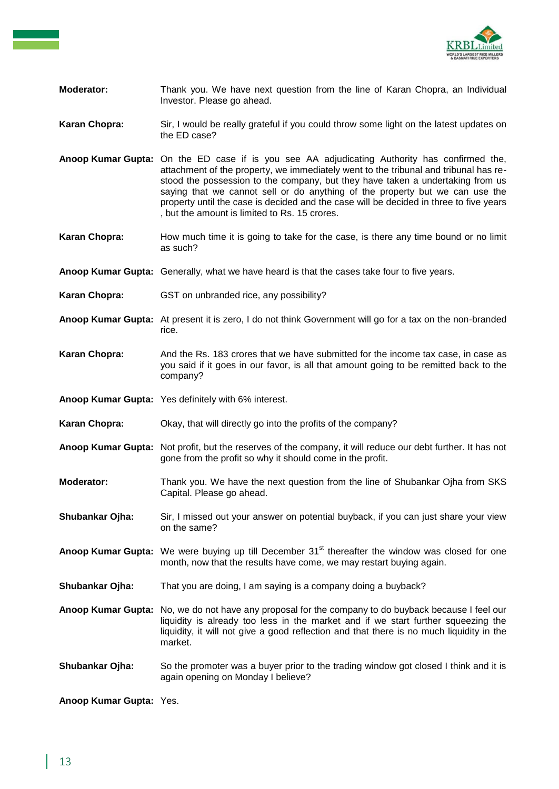

- **Moderator:** Thank you. We have next question from the line of Karan Chopra, an Individual Investor. Please go ahead.
- **Karan Chopra:** Sir, I would be really grateful if you could throw some light on the latest updates on the ED case?
- **Anoop Kumar Gupta:** On the ED case if is you see AA adjudicating Authority has confirmed the, attachment of the property, we immediately went to the tribunal and tribunal has restood the possession to the company, but they have taken a undertaking from us saying that we cannot sell or do anything of the property but we can use the property until the case is decided and the case will be decided in three to five years , but the amount is limited to Rs. 15 crores.
- **Karan Chopra:** How much time it is going to take for the case, is there any time bound or no limit as such?
- **Anoop Kumar Gupta:** Generally, what we have heard is that the cases take four to five years.
- **Karan Chopra:** GST on unbranded rice, any possibility?
- **Anoop Kumar Gupta:** At present it is zero, I do not think Government will go for a tax on the non-branded rice.
- **Karan Chopra:** And the Rs. 183 crores that we have submitted for the income tax case, in case as you said if it goes in our favor, is all that amount going to be remitted back to the company?
- **Anoop Kumar Gupta:** Yes definitely with 6% interest.
- **Karan Chopra:** Okay, that will directly go into the profits of the company?
- **Anoop Kumar Gupta:** Not profit, but the reserves of the company, it will reduce our debt further. It has not gone from the profit so why it should come in the profit.
- **Moderator:** Thank you. We have the next question from the line of Shubankar Ojha from SKS Capital. Please go ahead.
- **Shubankar Ojha:** Sir, I missed out your answer on potential buyback, if you can just share your view on the same?
- Anoop Kumar Gupta: We were buying up till December 31<sup>st</sup> thereafter the window was closed for one month, now that the results have come, we may restart buying again.
- **Shubankar Ojha:** That you are doing, I am saying is a company doing a buyback?
- **Anoop Kumar Gupta:** No, we do not have any proposal for the company to do buyback because I feel our liquidity is already too less in the market and if we start further squeezing the liquidity, it will not give a good reflection and that there is no much liquidity in the market.
- **Shubankar Ojha:** So the promoter was a buyer prior to the trading window got closed I think and it is again opening on Monday I believe?

**Anoop Kumar Gupta:** Yes.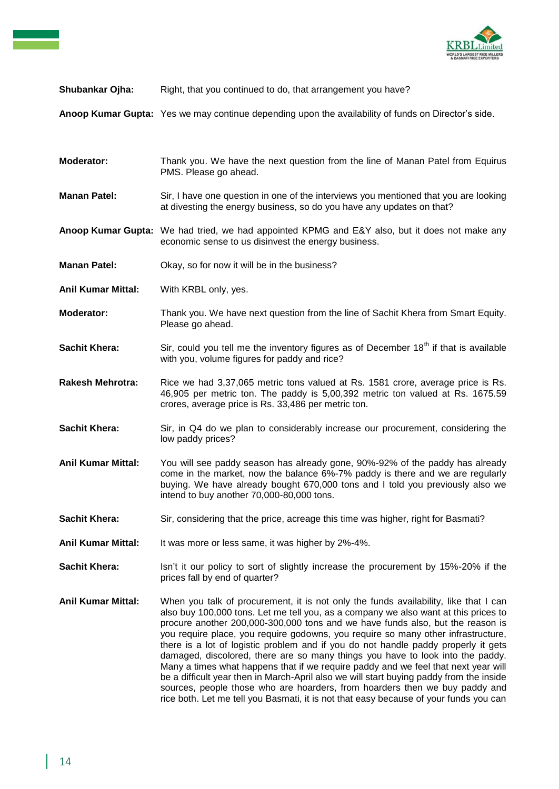

## **Shubankar Ojha:** Right, that you continued to do, that arrangement you have?

**Anoop Kumar Gupta:** Yes we may continue depending upon the availability of funds on Director's side.

| Moderator:                | Thank you. We have the next question from the line of Manan Patel from Equirus<br>PMS. Please go ahead.                                                                                                                                                                                                                                                                                                                                                                                                                                                                                                                                                                                                     |
|---------------------------|-------------------------------------------------------------------------------------------------------------------------------------------------------------------------------------------------------------------------------------------------------------------------------------------------------------------------------------------------------------------------------------------------------------------------------------------------------------------------------------------------------------------------------------------------------------------------------------------------------------------------------------------------------------------------------------------------------------|
| <b>Manan Patel:</b>       | Sir, I have one question in one of the interviews you mentioned that you are looking<br>at divesting the energy business, so do you have any updates on that?                                                                                                                                                                                                                                                                                                                                                                                                                                                                                                                                               |
|                           | Anoop Kumar Gupta: We had tried, we had appointed KPMG and E&Y also, but it does not make any<br>economic sense to us disinvest the energy business.                                                                                                                                                                                                                                                                                                                                                                                                                                                                                                                                                        |
| <b>Manan Patel:</b>       | Okay, so for now it will be in the business?                                                                                                                                                                                                                                                                                                                                                                                                                                                                                                                                                                                                                                                                |
| <b>Anil Kumar Mittal:</b> | With KRBL only, yes.                                                                                                                                                                                                                                                                                                                                                                                                                                                                                                                                                                                                                                                                                        |
| Moderator:                | Thank you. We have next question from the line of Sachit Khera from Smart Equity.<br>Please go ahead.                                                                                                                                                                                                                                                                                                                                                                                                                                                                                                                                                                                                       |
| <b>Sachit Khera:</b>      | Sir, could you tell me the inventory figures as of December 18 <sup>th</sup> if that is available<br>with you, volume figures for paddy and rice?                                                                                                                                                                                                                                                                                                                                                                                                                                                                                                                                                           |
| <b>Rakesh Mehrotra:</b>   | Rice we had 3,37,065 metric tons valued at Rs. 1581 crore, average price is Rs.<br>46,905 per metric ton. The paddy is 5,00,392 metric ton valued at Rs. 1675.59<br>crores, average price is Rs. 33,486 per metric ton.                                                                                                                                                                                                                                                                                                                                                                                                                                                                                     |
| <b>Sachit Khera:</b>      | Sir, in Q4 do we plan to considerably increase our procurement, considering the<br>low paddy prices?                                                                                                                                                                                                                                                                                                                                                                                                                                                                                                                                                                                                        |
| <b>Anil Kumar Mittal:</b> | You will see paddy season has already gone, 90%-92% of the paddy has already<br>come in the market, now the balance 6%-7% paddy is there and we are regularly<br>buying. We have already bought 670,000 tons and I told you previously also we<br>intend to buy another 70,000-80,000 tons.                                                                                                                                                                                                                                                                                                                                                                                                                 |
| <b>Sachit Khera:</b>      | Sir, considering that the price, acreage this time was higher, right for Basmati?                                                                                                                                                                                                                                                                                                                                                                                                                                                                                                                                                                                                                           |
| <b>Anil Kumar Mittal:</b> | It was more or less same, it was higher by 2%-4%.                                                                                                                                                                                                                                                                                                                                                                                                                                                                                                                                                                                                                                                           |
| <b>Sachit Khera:</b>      | Isn't it our policy to sort of slightly increase the procurement by 15%-20% if the<br>prices fall by end of quarter?                                                                                                                                                                                                                                                                                                                                                                                                                                                                                                                                                                                        |
| <b>Anil Kumar Mittal:</b> | When you talk of procurement, it is not only the funds availability, like that I can<br>also buy 100,000 tons. Let me tell you, as a company we also want at this prices to<br>procure another 200,000-300,000 tons and we have funds also, but the reason is<br>you require place, you require godowns, you require so many other infrastructure,<br>there is a lot of logistic problem and if you do not handle paddy properly it gets<br>damaged, discolored, there are so many things you have to look into the paddy.<br>Many a times what happens that if we require paddy and we feel that next year will<br>be a difficult year then in March-April also we will start buying paddy from the inside |

sources, people those who are hoarders, from hoarders then we buy paddy and rice both. Let me tell you Basmati, it is not that easy because of your funds you can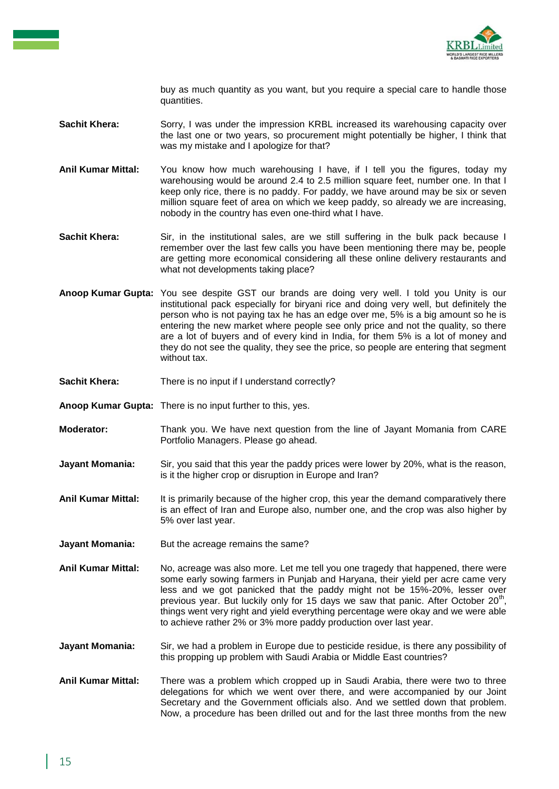

buy as much quantity as you want, but you require a special care to handle those quantities.

- **Sachit Khera:** Sorry, I was under the impression KRBL increased its warehousing capacity over the last one or two years, so procurement might potentially be higher, I think that was my mistake and I apologize for that?
- **Anil Kumar Mittal:** You know how much warehousing I have, if I tell you the figures, today my warehousing would be around 2.4 to 2.5 million square feet, number one. In that I keep only rice, there is no paddy. For paddy, we have around may be six or seven million square feet of area on which we keep paddy, so already we are increasing, nobody in the country has even one-third what I have.
- **Sachit Khera:** Sir, in the institutional sales, are we still suffering in the bulk pack because I remember over the last few calls you have been mentioning there may be, people are getting more economical considering all these online delivery restaurants and what not developments taking place?
- **Anoop Kumar Gupta:** You see despite GST our brands are doing very well. I told you Unity is our institutional pack especially for biryani rice and doing very well, but definitely the person who is not paying tax he has an edge over me, 5% is a big amount so he is entering the new market where people see only price and not the quality, so there are a lot of buyers and of every kind in India, for them 5% is a lot of money and they do not see the quality, they see the price, so people are entering that segment without tax.
- Sachit Khera: There is no input if I understand correctly?
- **Anoop Kumar Gupta:** There is no input further to this, yes.
- **Moderator:** Thank you. We have next question from the line of Jayant Momania from CARE Portfolio Managers. Please go ahead.
- **Jayant Momania:** Sir, you said that this year the paddy prices were lower by 20%, what is the reason, is it the higher crop or disruption in Europe and Iran?
- **Anil Kumar Mittal:** It is primarily because of the higher crop, this year the demand comparatively there is an effect of Iran and Europe also, number one, and the crop was also higher by 5% over last year.
- **Jayant Momania:** But the acreage remains the same?
- **Anil Kumar Mittal:** No, acreage was also more. Let me tell you one tragedy that happened, there were some early sowing farmers in Punjab and Haryana, their yield per acre came very less and we got panicked that the paddy might not be 15%-20%, lesser over previous year. But luckily only for 15 days we saw that panic. After October 20<sup>th</sup>, things went very right and yield everything percentage were okay and we were able to achieve rather 2% or 3% more paddy production over last year.
- **Jayant Momania:** Sir, we had a problem in Europe due to pesticide residue, is there any possibility of this propping up problem with Saudi Arabia or Middle East countries?
- **Anil Kumar Mittal:** There was a problem which cropped up in Saudi Arabia, there were two to three delegations for which we went over there, and were accompanied by our Joint Secretary and the Government officials also. And we settled down that problem. Now, a procedure has been drilled out and for the last three months from the new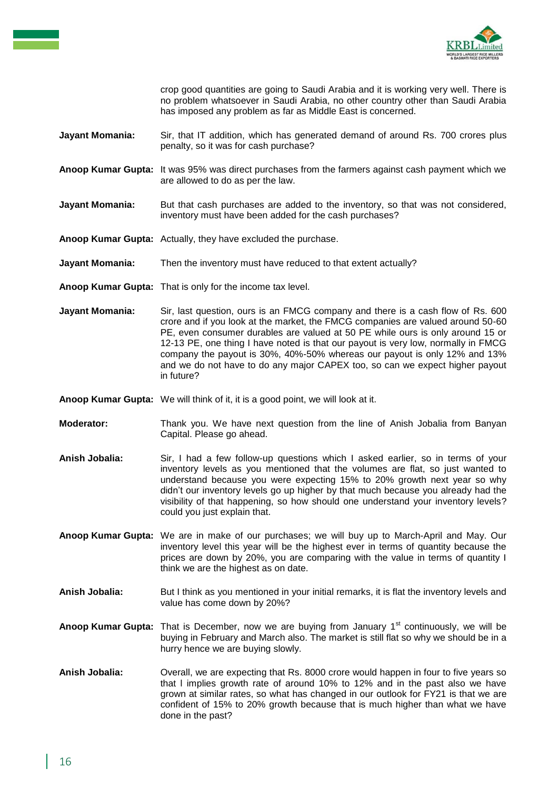

crop good quantities are going to Saudi Arabia and it is working very well. There is no problem whatsoever in Saudi Arabia, no other country other than Saudi Arabia has imposed any problem as far as Middle East is concerned.

- **Jayant Momania:** Sir, that IT addition, which has generated demand of around Rs. 700 crores plus penalty, so it was for cash purchase?
- **Anoop Kumar Gupta:** It was 95% was direct purchases from the farmers against cash payment which we are allowed to do as per the law.
- **Jayant Momania:** But that cash purchases are added to the inventory, so that was not considered, inventory must have been added for the cash purchases?
- **Anoop Kumar Gupta:** Actually, they have excluded the purchase.
- **Jayant Momania:** Then the inventory must have reduced to that extent actually?
- **Anoop Kumar Gupta:** That is only for the income tax level.
- **Jayant Momania:** Sir, last question, ours is an FMCG company and there is a cash flow of Rs. 600 crore and if you look at the market, the FMCG companies are valued around 50-60 PE, even consumer durables are valued at 50 PE while ours is only around 15 or 12-13 PE, one thing I have noted is that our payout is very low, normally in FMCG company the payout is 30%, 40%-50% whereas our payout is only 12% and 13% and we do not have to do any major CAPEX too, so can we expect higher payout in future?
- **Anoop Kumar Gupta:** We will think of it, it is a good point, we will look at it.
- **Moderator:** Thank you. We have next question from the line of Anish Jobalia from Banyan Capital. Please go ahead.
- **Anish Jobalia:** Sir, I had a few follow-up questions which I asked earlier, so in terms of your inventory levels as you mentioned that the volumes are flat, so just wanted to understand because you were expecting 15% to 20% growth next year so why didn't our inventory levels go up higher by that much because you already had the visibility of that happening, so how should one understand your inventory levels? could you just explain that.
- **Anoop Kumar Gupta:** We are in make of our purchases; we will buy up to March-April and May. Our inventory level this year will be the highest ever in terms of quantity because the prices are down by 20%, you are comparing with the value in terms of quantity I think we are the highest as on date.
- **Anish Jobalia:** But I think as you mentioned in your initial remarks, it is flat the inventory levels and value has come down by 20%?
- Anoop Kumar Gupta: That is December, now we are buying from January 1<sup>st</sup> continuously, we will be buying in February and March also. The market is still flat so why we should be in a hurry hence we are buying slowly.
- **Anish Jobalia:** Overall, we are expecting that Rs. 8000 crore would happen in four to five years so that l implies growth rate of around 10% to 12% and in the past also we have grown at similar rates, so what has changed in our outlook for FY21 is that we are confident of 15% to 20% growth because that is much higher than what we have done in the past?